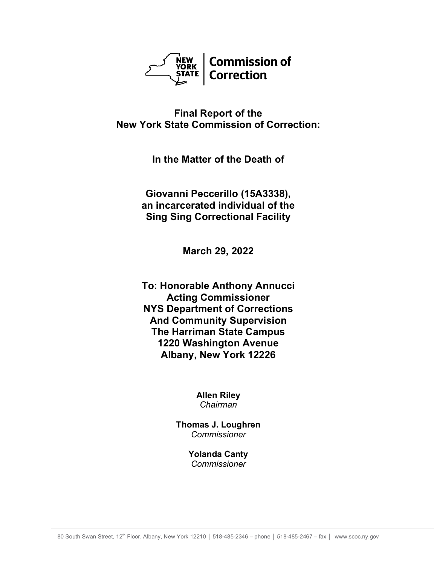

# **Final Report of the New York State Commission of Correction:**

**In the Matter of the Death of**

**Giovanni Peccerillo (15A3338), an incarcerated individual of the Sing Sing Correctional Facility**

**March 29, 2022**

**To: Honorable Anthony Annucci Acting Commissioner NYS Department of Corrections And Community Supervision The Harriman State Campus 1220 Washington Avenue Albany, New York 12226**

> **Allen Riley** *Chairman*

**Thomas J. Loughren** *Commissioner*

> **Yolanda Canty** *Commissioner*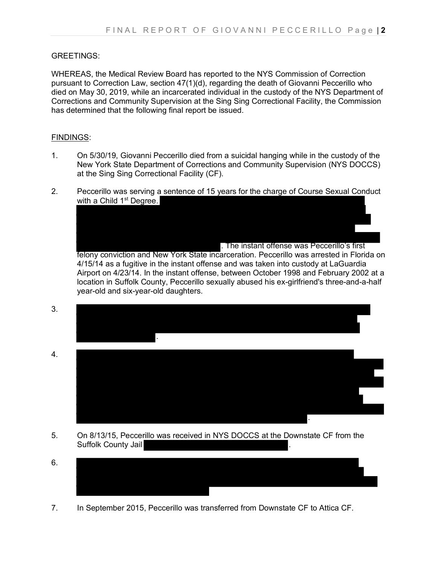### GREETINGS:

WHEREAS, the Medical Review Board has reported to the NYS Commission of Correction pursuant to Correction Law, section 47(1)(d), regarding the death of Giovanni Peccerillo who died on May 30, 2019, while an incarcerated individual in the custody of the NYS Department of Corrections and Community Supervision at the Sing Sing Correctional Facility, the Commission has determined that the following final report be issued.

#### FINDINGS:

- 1. On 5/30/19, Giovanni Peccerillo died from a suicidal hanging while in the custody of the New York State Department of Corrections and Community Supervision (NYS DOCCS) at the Sing Sing Correctional Facility (CF).
- 2. Peccerillo was serving a sentence of 15 years for the charge of Course Sexual Conduct with a Child 1<sup>st</sup> Degree.

. The instant offense was Peccerillo's first felony conviction and New York State incarceration. Peccerillo was arrested in Florida on 4/15/14 as a fugitive in the instant offense and was taken into custody at LaGuardia Airport on 4/23/14. In the instant offense, between October 1998 and February 2002 at a location in Suffolk County, Peccerillo sexually abused his ex-girlfriend's three-and-a-half year-old and six-year-old daughters.

- 3. .
- 4. .
- 5. On 8/13/15, Peccerillo was received in NYS DOCCS at the Downstate CF from the Suffolk County Jail
- 6.
- 7. In September 2015, Peccerillo was transferred from Downstate CF to Attica CF.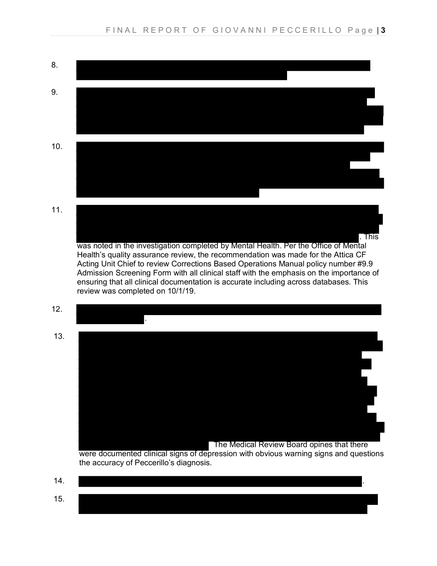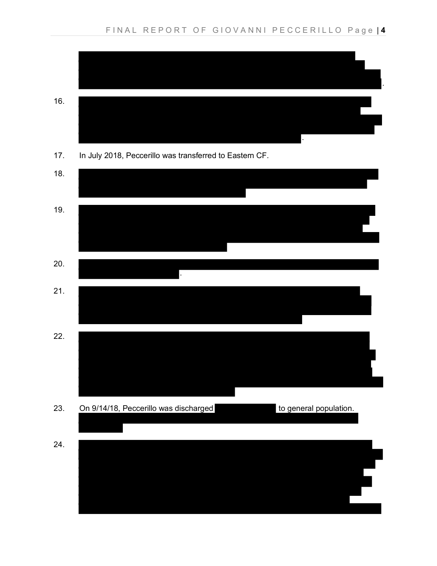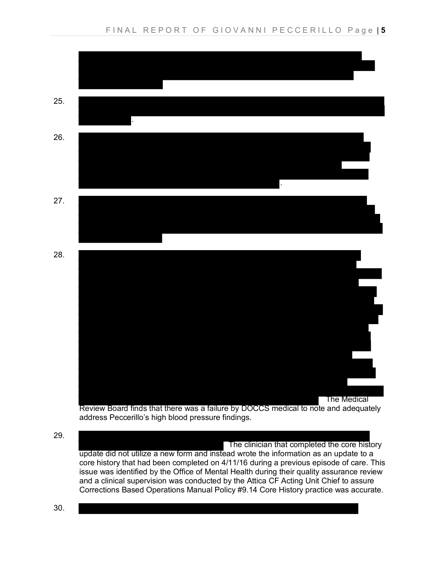

address Peccerillo's high blood pressure findings.

29. The clinician that completed the core history update did not utilize a new form and instead wrote the information as an update to a core history that had been completed on 4/11/16 during a previous episode of care. This issue was identified by the Office of Mental Health during their quality assurance review and a clinical supervision was conducted by the Attica CF Acting Unit Chief to assure Corrections Based Operations Manual Policy #9.14 Core History practice was accurate.

30.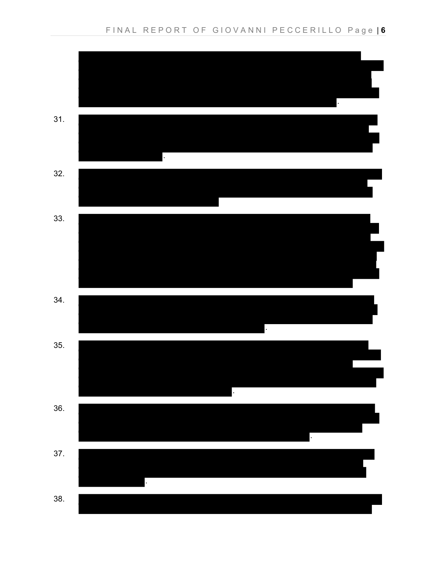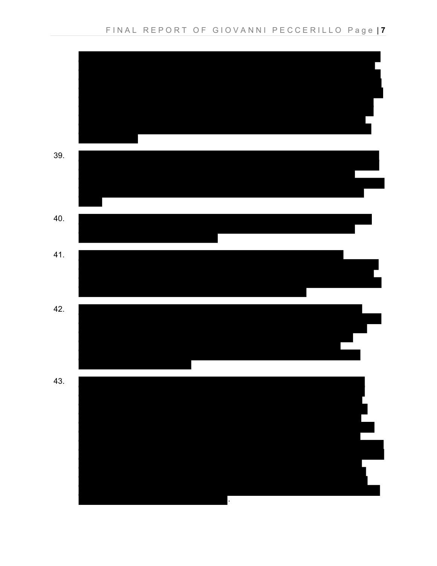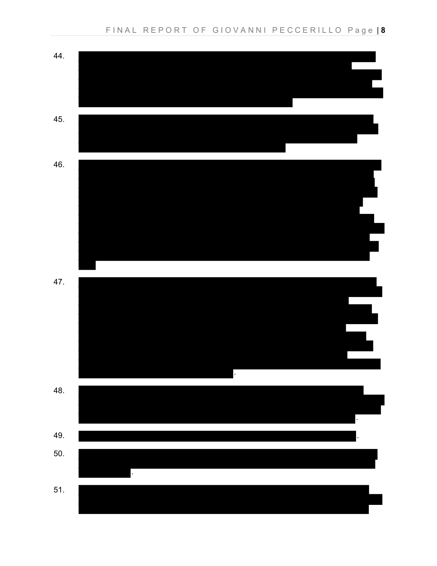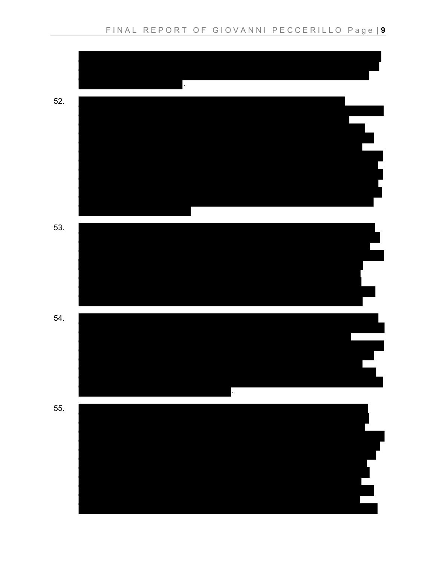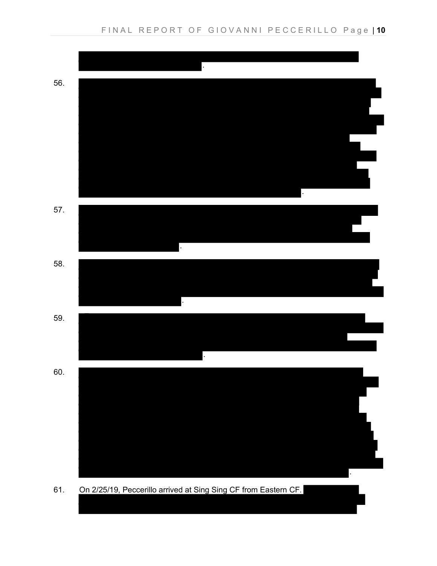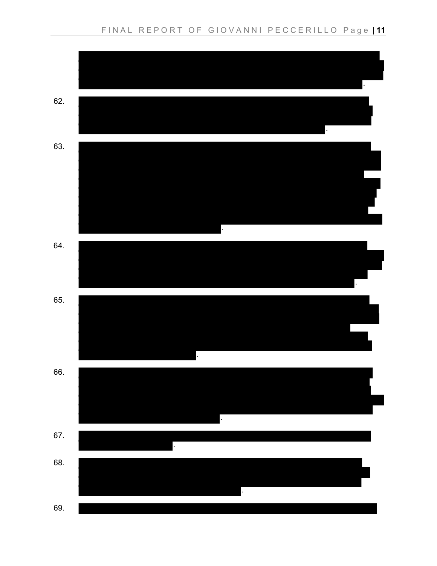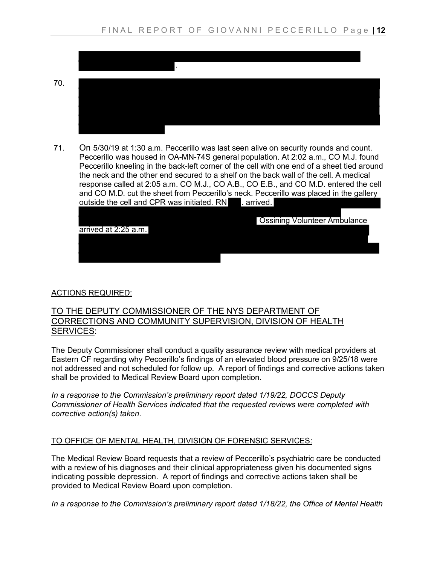

71. On 5/30/19 at 1:30 a.m. Peccerillo was last seen alive on security rounds and count. Peccerillo was housed in OA-MN-74S general population. At 2:02 a.m., CO M.J. found Peccerillo kneeling in the back-left corner of the cell with one end of a sheet tied around the neck and the other end secured to a shelf on the back wall of the cell. A medical response called at 2:05 a.m. CO M.J., CO A.B., CO E.B., and CO M.D. entered the cell and CO M.D. cut the sheet from Peccerillo's neck. Peccerillo was placed in the gallery outside the cell and CPR was initiated. RN . arrived.

|                      | <b>Ossining Volunteer Ambulance</b> |  |
|----------------------|-------------------------------------|--|
| arrived at 2:25 a.m. |                                     |  |
|                      |                                     |  |
|                      |                                     |  |
|                      |                                     |  |

# ACTIONS REQUIRED:

### TO THE DEPUTY COMMISSIONER OF THE NYS DEPARTMENT OF CORRECTIONS AND COMMUNITY SUPERVISION, DIVISION OF HEALTH SERVICES:

The Deputy Commissioner shall conduct a quality assurance review with medical providers at Eastern CF regarding why Peccerillo's findings of an elevated blood pressure on 9/25/18 were not addressed and not scheduled for follow up. A report of findings and corrective actions taken shall be provided to Medical Review Board upon completion.

*In a response to the Commission's preliminary report dated 1/19/22, DOCCS Deputy Commissioner of Health Services indicated that the requested reviews were completed with corrective action(s) taken.* 

# TO OFFICE OF MENTAL HEALTH, DIVISION OF FORENSIC SERVICES:

The Medical Review Board requests that a review of Peccerillo's psychiatric care be conducted with a review of his diagnoses and their clinical appropriateness given his documented signs indicating possible depression. A report of findings and corrective actions taken shall be provided to Medical Review Board upon completion.

*In a response to the Commission's preliminary report dated 1/18/22, the Office of Mental Health*